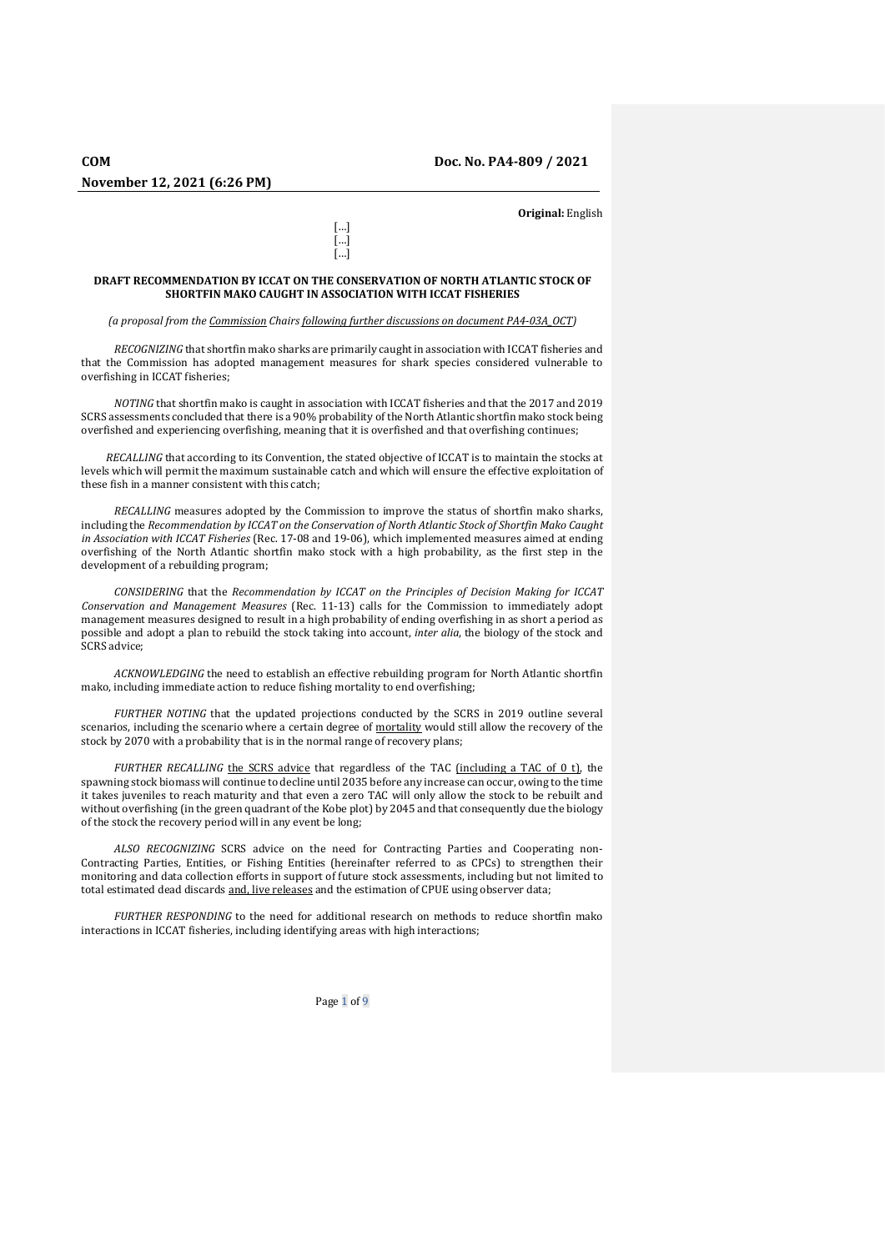**Original:** English

## **DRAFT RECOMMENDATION BY ICCAT ON THE CONSERVATION OF NORTH ATLANTIC STOCK OF SHORTFIN MAKO CAUGHT IN ASSOCIATION WITH ICCAT FISHERIES**

[…] […] […]

*(a proposal from the Commission Chairs following further discussions on document PA4-03A\_OCT)*

*RECOGNIZING* that shortfin mako sharks are primarily caught in association with ICCAT fisheries and that the Commission has adopted management measures for shark species considered vulnerable to overfishing in ICCAT fisheries;

*NOTING* that shortfin mako is caught in association with ICCAT fisheries and that the 2017 and 2019 SCRS assessments concluded that there is a 90% probability of the North Atlantic shortfin mako stock being overfished and experiencing overfishing, meaning that it is overfished and that overfishing continues;

*RECALLING* that according to its Convention, the stated objective of ICCAT is to maintain the stocks at levels which will permit the maximum sustainable catch and which will ensure the effective exploitation of these fish in a manner consistent with this catch;

*RECALLING* measures adopted by the Commission to improve the status of shortfin mako sharks, including the *Recommendation by ICCAT on the Conservation of North Atlantic Stock of Shortfin Mako Caught in Association with ICCAT Fisheries* (Rec. 17-08 and 19-06), which implemented measures aimed at ending overfishing of the North Atlantic shortfin mako stock with a high probability, as the first step in the development of a rebuilding program;

*CONSIDERING* that the *Recommendation by ICCAT on the Principles of Decision Making for ICCAT Conservation and Management Measures* (Rec. 11-13) calls for the Commission to immediately adopt management measures designed to result in a high probability of ending overfishing in as short a period as possible and adopt a plan to rebuild the stock taking into account, *inter alia*, the biology of the stock and SCRS advice;

*ACKNOWLEDGING* the need to establish an effective rebuilding program for North Atlantic shortfin mako, including immediate action to reduce fishing mortality to end overfishing;

*FURTHER NOTING* that the updated projections conducted by the SCRS in 2019 outline several scenarios, including the scenario where a certain degree of mortality would still allow the recovery of the stock by 2070 with a probability that is in the normal range of recovery plans;

*FURTHER RECALLING* the SCRS advice that regardless of the TAC (including a TAC of 0 t), the spawning stock biomass will continue to decline until 2035 before any increase can occur, owing to the time it takes juveniles to reach maturity and that even a zero TAC will only allow the stock to be rebuilt and without overfishing (in the green quadrant of the Kobe plot) by 2045 and that consequently due the biology of the stock the recovery period will in any event be long;

*ALSO RECOGNIZING* SCRS advice on the need for Contracting Parties and Cooperating non-Contracting Parties, Entities, or Fishing Entities (hereinafter referred to as CPCs) to strengthen their monitoring and data collection efforts in support of future stock assessments, including but not limited to total estimated dead discards and, live releases and the estimation of CPUE using observer data;

*FURTHER RESPONDING* to the need for additional research on methods to reduce shortfin mako interactions in ICCAT fisheries, including identifying areas with high interactions;

Page 1 of 9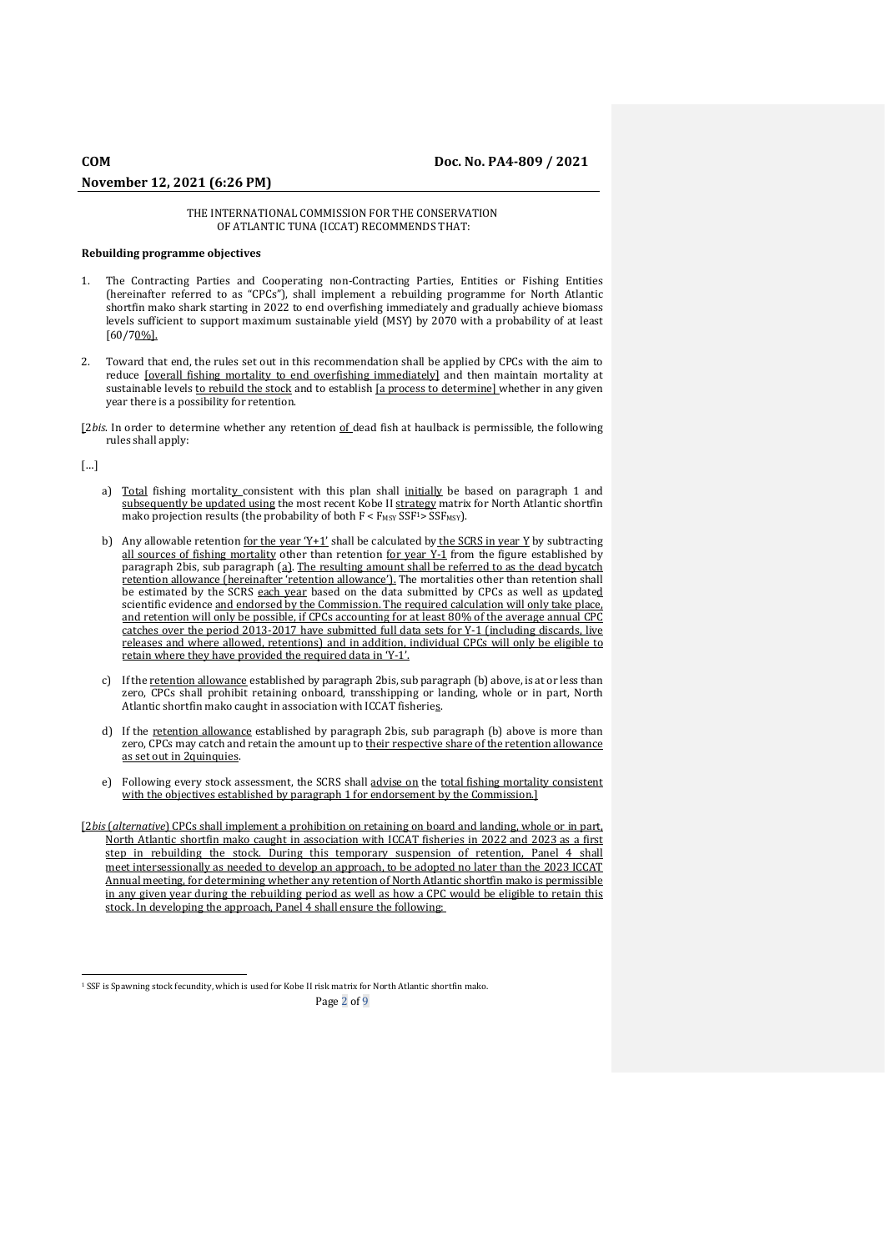## THE INTERNATIONAL COMMISSION FOR THE CONSERVATION OF ATLANTIC TUNA (ICCAT) RECOMMENDS THAT:

## **Rebuilding programme objectives**

- 1. The Contracting Parties and Cooperating non-Contracting Parties, Entities or Fishing Entities (hereinafter referred to as "CPCs"), shall implement a rebuilding programme for North Atlantic shortfin mako shark starting in 2022 to end overfishing immediately and gradually achieve biomass levels sufficient to support maximum sustainable yield (MSY) by 2070 with a probability of at least [60/70%].
- 2. Toward that end, the rules set out in this recommendation shall be applied by CPCs with the aim to reduce [overall fishing mortality to end overfishing immediately] and then maintain mortality at sustainable levels to rebuild the stock and to establish [a process to determine] whether in any given year there is a possibility for retention.

[2*bis*. In order to determine whether any retention of dead fish at haulback is permissible, the following rules shall apply:

[…]

- a) Total fishing mortality\_consistent with this plan shall initially be based on paragraph 1 and subsequently be updated using the most recent Kobe II strategy matrix for North Atlantic shortfin mako projection results (the probability of both  $F < F_{MSY}$  SSF<sup>1</sup>> SSF<sub>MSY</sub>).
- b) Any allowable retention for the year 'Y+1' shall be calculated by the SCRS in year Y by subtracting all sources of fishing mortality other than retention for year  $\overline{Y-1}$  from the figure established by paragraph 2bis, sub paragraph (a). The resulting amount shall be referred to as the dead bycatch retention allowance (hereinafter 'retention allowance'). The mortalities other than retention shall be estimated by the SCRS each year based on the data submitted by CPCs as well as updated scientific evidence and endorsed by the Commission. The required calculation will only take place, and retention will only be possible, if CPCs accounting for at least 80% of the average annual CPC catches over the period 2013-2017 have submitted full data sets for Y-1 (including discards, live releases and where allowed, retentions) and in addition, individual CPCs will only be eligible to retain where they have provided the required data in 'Y-1'.
- c) If the retention allowance established by paragraph 2bis, sub paragraph (b) above, is at or less than zero, CPCs shall prohibit retaining onboard, transshipping or landing, whole or in part, North Atlantic shortfin mako caught in association with ICCAT fisheries.
- d) If the retention allowance established by paragraph 2bis, sub paragraph (b) above is more than zero, CPCs may catch and retain the amount up to their respective share of the retention allowance as set out in 2quinquies.
- e) Following every stock assessment, the SCRS shall advise on the total fishing mortality consistent with the objectives established by paragraph 1 for endorsement by the Commission.]
- [2*bis* (*alternative*) CPCs shall implement a prohibition on retaining on board and landing, whole or in part, North Atlantic shortfin mako caught in association with ICCAT fisheries in 2022 and 2023 as a first step in rebuilding the stock. During this temporary suspension of retention, Panel 4 shall meet intersessionally as needed to develop an approach, to be adopted no later than the 2023 ICCAT Annual meeting, for determining whether any retention of North Atlantic shortfin mako is permissible in any given year during the rebuilding period as well as how a CPC would be eligible to retain this stock. In developing the approach, Panel 4 shall ensure the following:

Page 2 of 9

<sup>1</sup> SSF is Spawning stock fecundity, which is used for Kobe II risk matrix for North Atlantic shortfin mako.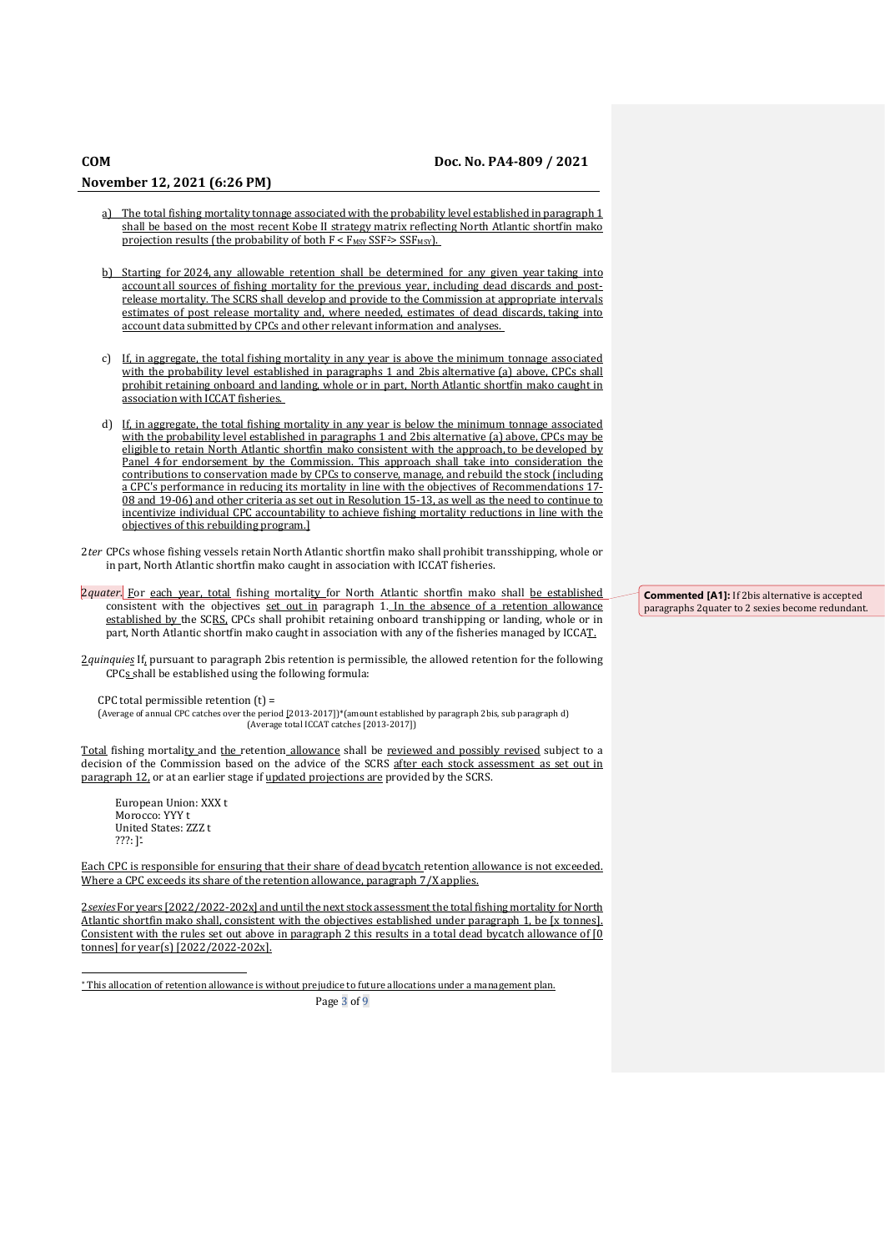- The total fishing mortality tonnage associated with the probability level established in paragraph 1 shall be based on the most recent Kobe II strategy matrix reflecting North Atlantic shortfin mako projection results (the probability of both  $F < F_{MSY}$  SSF<sup>2</sup>> SSF<sub>MSY</sub>).
- b) Starting for 2024, any allowable retention shall be determined for any given year taking into account all sources of fishing mortality for the previous year, including dead discards and postrelease mortality. The SCRS shall develop and provide to the Commission at appropriate intervals estimates of post release mortality and, where needed, estimates of dead discards, taking into account data submitted by CPCs and other relevant information and analyses.
- c) If, in aggregate, the total fishing mortality in any year is above the minimum tonnage associated with the probability level established in paragraphs 1 and 2bis alternative (a) above, CPCs shall prohibit retaining onboard and landing, whole or in part, North Atlantic shortfin mako caught in association with ICCAT fisheries.
- d) If, in aggregate, the total fishing mortality in any year is below the minimum tonnage associated with the probability level established in paragraphs 1 and 2bis alternative (a) above, CPCs may be eligible to retain North Atlantic shortfin mako consistent with the approach, to be developed by Panel 4 for endorsement by the Commission. This approach shall take into consideration the contributions to conservation made by CPCs to conserve, manage, and rebuild the stock (including a CPC's performance in reducing its mortality in line with the objectives of Recommendations 17- 08 and 19-06) and other criteria as set out in Resolution 15-13, as well as the need to continue to incentivize individual CPC accountability to achieve fishing mortality reductions in line with the objectives of this rebuilding program.]
- 2*ter* CPCs whose fishing vessels retain North Atlantic shortfin mako shall prohibit transshipping, whole or in part, North Atlantic shortfin mako caught in association with ICCAT fisheries.
- 2*quater*. For each year, total fishing mortality for North Atlantic shortfin mako shall be established consistent with the objectives set out in paragraph 1. In the absence of a retention allowance established by the SCRS. CPCs shall prohibit retaining onboard transhipping or landing, whole or in part, North Atlantic shortfin mako caught in association with any of the fisheries managed by ICCAT.
- 2*quinquies* If, pursuant to paragraph 2bis retention is permissible, the allowed retention for the following CPCs shall be established using the following formula:

CPC total permissible retention (t) =

(Average of annual CPC catches over the period [2013-2017])\*(amount established by paragraph 2bis, sub paragraph d) (Average total ICCAT catches [2013-2017])

Total fishing mortality and the retention allowance shall be reviewed and possibly revised subject to a decision of the Commission based on the advice of the SCRS after each stock assessment as set out in paragraph 12, or at an earlier stage if updated projections are provided by the SCRS.

European Union: XXX t Morocco: YYY t United States: ZZZ t ???: ] \*

Each CPC is responsible for ensuring that their share of dead bycatch retention allowance is not exceeded. Where a CPC exceeds its share of the retention allowance, paragraph 7/X applies.

2*sexies* For years [2022/2022-202x] and until the next stock assessment the total fishing mortality for North Atlantic shortfin mako shall, consistent with the objectives established under paragraph 1, be [x tonnes]. Consistent with the rules set out above in paragraph 2 this results in a total dead bycatch allowance of [0 tonnes] for year(s) [2022/2022-202x].

This allocation of retention allowance is without prejudice to future allocations under a management plan.

Page 3 of 9

**Commented [A1]:** If 2bis alternative is accepted paragraphs 2quater to 2 sexies become redundant.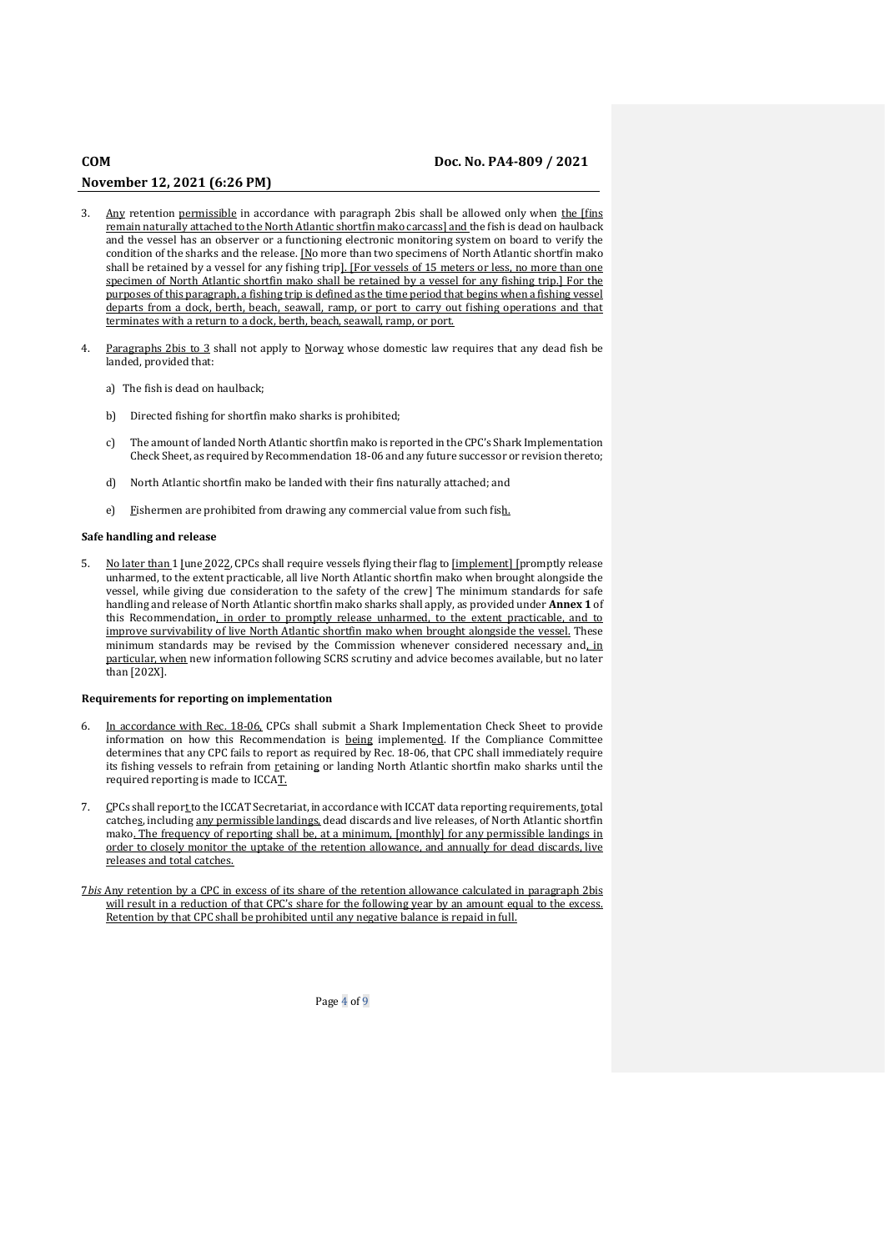- 3. Any retention permissible in accordance with paragraph 2bis shall be allowed only when the [fins remain naturally attached to the North Atlantic shortfin mako carcass] and the fish is dead on haulback and the vessel has an observer or a functioning electronic monitoring system on board to verify the condition of the sharks and the release.  $\underline{N}$ o more than two specimens of North Atlantic shortfin mako shall be retained by a vessel for any fishing trip]. [For vessels of 15 meters or less, no more than one specimen of North Atlantic shortfin mako shall be retained by a vessel for any fishing trip.] For the purposes of this paragraph, a fishing trip is defined as the time period that begins when a fishing vessel departs from a dock, berth, beach, seawall, ramp, or port to carry out fishing operations and that terminates with a return to a dock, berth, beach, seawall, ramp, or port.
- Paragraphs 2bis to 3 shall not apply to Norway whose domestic law requires that any dead fish be landed, provided that:
	- a) The fish is dead on haulback;
	- b) Directed fishing for shortfin mako sharks is prohibited;
	- c) The amount of landed North Atlantic shortfin mako is reported in the CPC's Shark Implementation Check Sheet, as required by Recommendation 18-06 and any future successor or revision thereto;
	- d) North Atlantic shortfin mako be landed with their fins naturally attached; and
	- e) Fishermen are prohibited from drawing any commercial value from such fish.

## **Safe handling and release**

5. No later than 1 June 2022, CPCs shall require vessels flying their flag to [implement] [promptly release unharmed, to the extent practicable, all live North Atlantic shortfin mako when brought alongside the vessel, while giving due consideration to the safety of the crew] The minimum standards for safe handling and release of North Atlantic shortfin mako sharks shall apply, as provided under **Annex 1** of this Recommendation, in order to promptly release unharmed, to the extent practicable, and to improve survivability of live North Atlantic shortfin mako when brought alongside the vessel. These minimum standards may be revised by the Commission whenever considered necessary and, in particular, when new information following SCRS scrutiny and advice becomes available, but no later than [202X].

### **Requirements for reporting on implementation**

- 6. In accordance with Rec. 18-06, CPCs shall submit a Shark Implementation Check Sheet to provide information on how this Recommendation is being implemented. If the Compliance Committee determines that any CPC fails to report as required by Rec. 18-06, that CPC shall immediately require its fishing vessels to refrain from retaining or landing North Atlantic shortfin mako sharks until the required reporting is made to ICCAT.
- 7. CPCs shall report to the ICCAT Secretariat, in accordance with ICCAT data reporting requirements, total catches, including any permissible landings, dead discards and live releases, of North Atlantic shortfin mako. The frequency of reporting shall be, at a minimum, [monthly] for any permissible landings in order to closely monitor the uptake of the retention allowance, and annually for dead discards, live releases and total catches.
- 7*bis* Any retention by a CPC in excess of its share of the retention allowance calculated in paragraph 2bis will result in a reduction of that CPC's share for the following year by an amount equal to the excess. Retention by that CPC shall be prohibited until any negative balance is repaid in full.

Page 4 of 9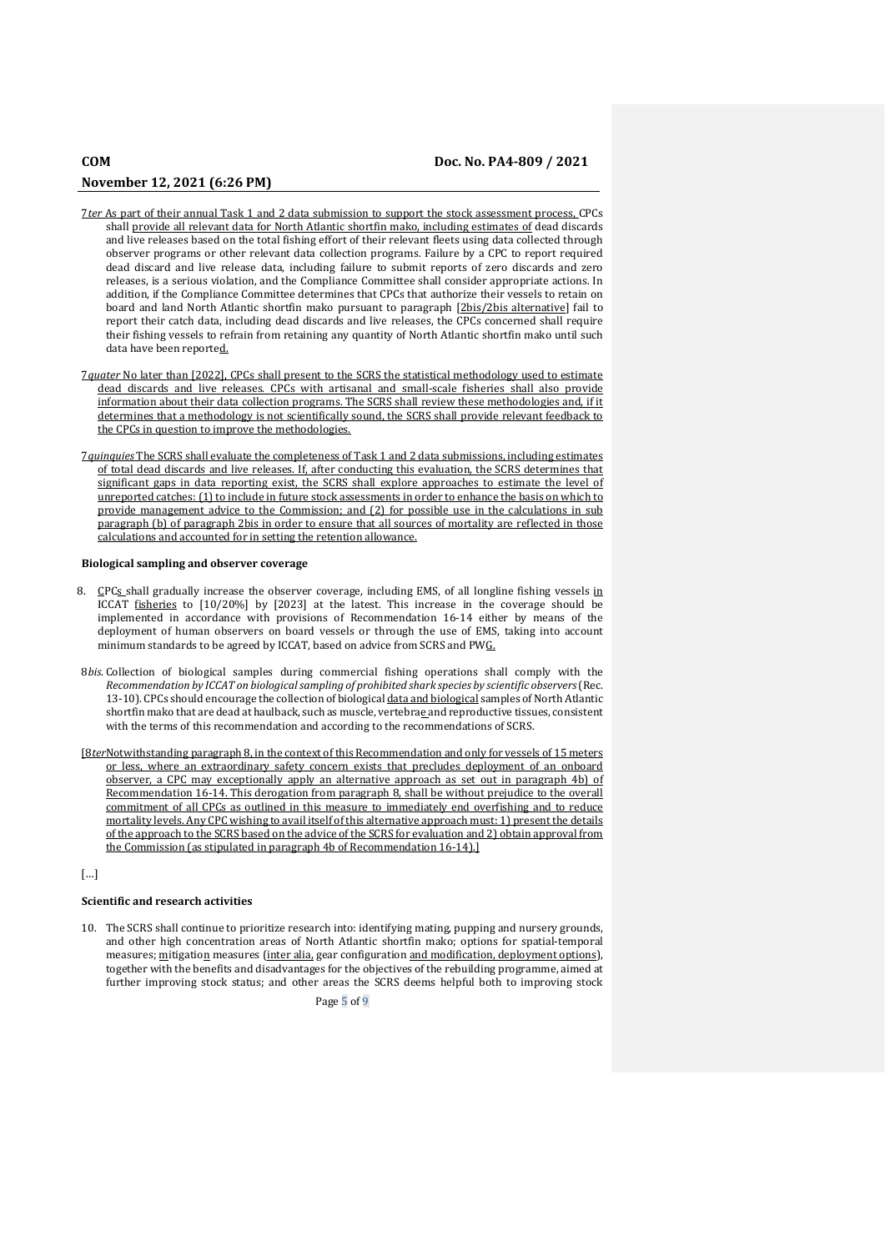- 7*ter* As part of their annual Task 1 and 2 data submission to support the stock assessment process, CPCs shall provide all relevant data for North Atlantic shortfin mako, including estimates of dead discards and live releases based on the total fishing effort of their relevant fleets using data collected through observer programs or other relevant data collection programs. Failure by a CPC to report required dead discard and live release data, including failure to submit reports of zero discards and zero releases, is a serious violation, and the Compliance Committee shall consider appropriate actions. In addition, if the Compliance Committee determines that CPCs that authorize their vessels to retain on board and land North Atlantic shortfin mako pursuant to paragraph [2bis/2bis alternative] fail to report their catch data, including dead discards and live releases, the CPCs concerned shall require their fishing vessels to refrain from retaining any quantity of North Atlantic shortfin mako until such data have been reported.
- 7*quater* No later than [2022], CPCs shall present to the SCRS the statistical methodology used to estimate dead discards and live releases. CPCs with artisanal and small-scale fisheries shall also provide information about their data collection programs. The SCRS shall review these methodologies and, if it determines that a methodology is not scientifically sound, the SCRS shall provide relevant feedback to the CPCs in question to improve the methodologies.
- 7*quinquies* The SCRS shall evaluate the completeness of Task 1 and 2 data submissions, including estimates of total dead discards and live releases. If, after conducting this evaluation, the SCRS determines that significant gaps in data reporting exist, the SCRS shall explore approaches to estimate the level of unreported catches: (1) to include in future stock assessments in order to enhance the basis on which to provide management advice to the Commission; and (2) for possible use in the calculations in sub paragraph (b) of paragraph 2bis in order to ensure that all sources of mortality are reflected in those calculations and accounted for in setting the retention allowance.

## **Biological sampling and observer coverage**

- 8.  $CPCs$  shall gradually increase the observer coverage, including EMS, of all longline fishing vessels in ICCAT fisheries to [10/20%] by [2023] at the latest. This increase in the coverage should be implemented in accordance with provisions of Recommendation 16-14 either by means of the deployment of human observers on board vessels or through the use of EMS, taking into account minimum standards to be agreed by ICCAT, based on advice from SCRS and PWG.
- 8*bis*. Collection of biological samples during commercial fishing operations shall comply with the *Recommendation by ICCAT on biological sampling of prohibited shark species by scientific observers*(Rec. 13-10). CPCs should encourage the collection of biological data and biological samples of North Atlantic shortfin mako that are dead at haulback, such as muscle, vertebrae and reproductive tissues, consistent with the terms of this recommendation and according to the recommendations of SCRS.
- [8*ter*Notwithstanding paragraph 8, in the context of this Recommendation and only for vessels of 15 meters or less, where an extraordinary safety concern exists that precludes deployment of an onboard observer, a CPC may exceptionally apply an alternative approach as set out in paragraph 4b) of Recommendation 16-14. This derogation from paragraph 8, shall be without prejudice to the overall commitment of all CPCs as outlined in this measure to immediately end overfishing and to reduce mortality levels. Any CPC wishing to avail itself of this alternative approach must: 1) present the details of the approach to the SCRS based on the advice of the SCRS for evaluation and 2) obtain approval from the Commission (as stipulated in paragraph 4b of Recommendation 16-14).]

## […]

### **Scientific and research activities**

10. The SCRS shall continue to prioritize research into: identifying mating, pupping and nursery grounds, and other high concentration areas of North Atlantic shortfin mako; options for spatial-temporal measures; mitigation measures (inter alia, gear configuration and modification, deployment options), together with the benefits and disadvantages for the objectives of the rebuilding programme, aimed at further improving stock status; and other areas the SCRS deems helpful both to improving stock

Page 5 of 9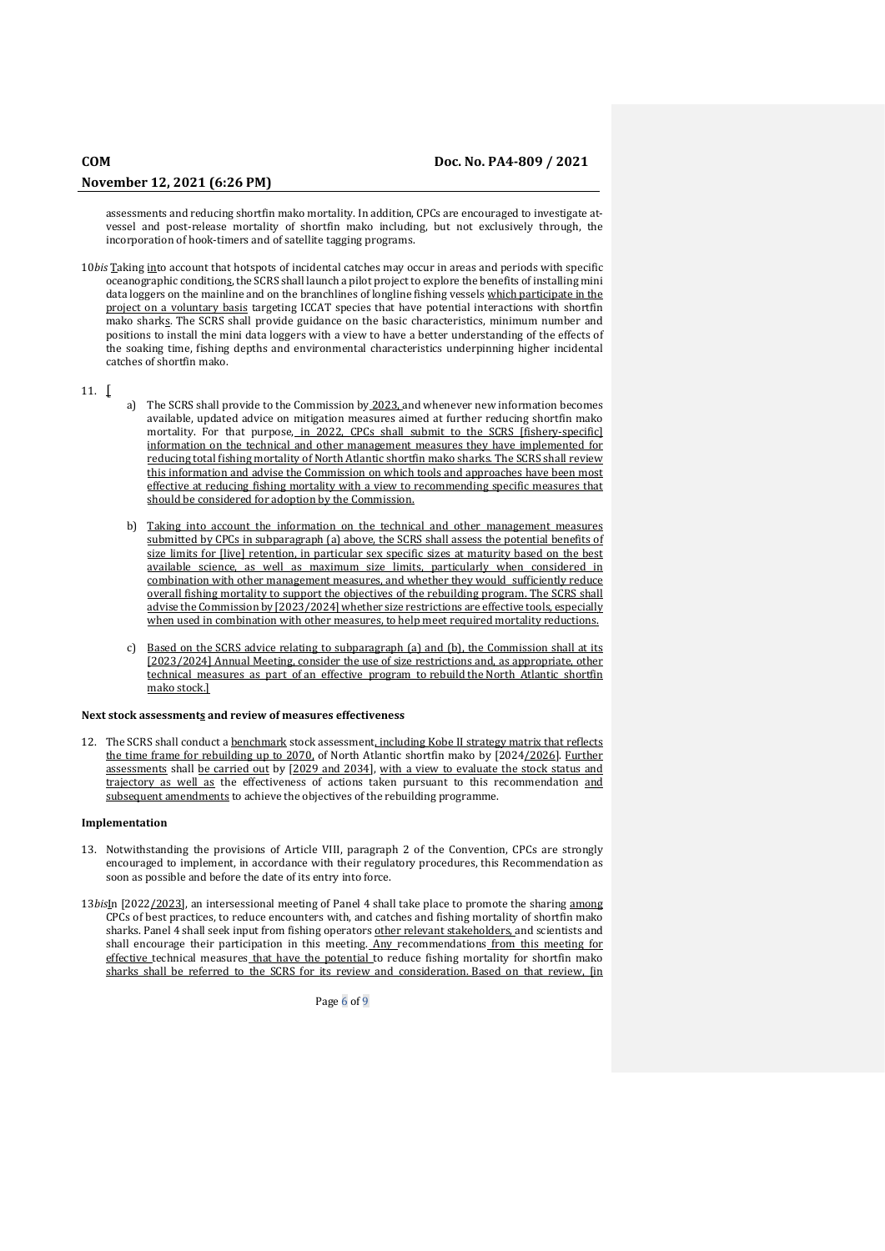assessments and reducing shortfin mako mortality. In addition, CPCs are encouraged to investigate atvessel and post-release mortality of shortfin mako including, but not exclusively through, the incorporation of hook-timers and of satellite tagging programs.

10*bis* Taking into account that hotspots of incidental catches may occur in areas and periods with specific oceanographic conditions, the SCRS shall launch a pilot project to explore the benefits of installing mini data loggers on the mainline and on the branchlines of longline fishing vessels which participate in the project on a voluntary basis targeting ICCAT species that have potential interactions with shortfin mako sharks. The SCRS shall provide guidance on the basic characteristics, minimum number and positions to install the mini data loggers with a view to have a better understanding of the effects of the soaking time, fishing depths and environmental characteristics underpinning higher incidental catches of shortfin mako.

## 11. [

- a) The SCRS shall provide to the Commission by 2023, and whenever new information becomes available, updated advice on mitigation measures aimed at further reducing shortfin mako mortality. For that purpose, in 2022, CPCs shall submit to the SCRS [fishery-specific] information on the technical and other management measures they have implemented for reducing total fishing mortality of North Atlantic shortfin mako sharks. The SCRS shall review this information and advise the Commission on which tools and approaches have been most effective at reducing fishing mortality with a view to recommending specific measures that should be considered for adoption by the Commission.
- b) Taking into account the information on the technical and other management measures submitted by CPCs in subparagraph (a) above, the SCRS shall assess the potential benefits of size limits for [live] retention, in particular sex specific sizes at maturity based on the best available science, as well as maximum size limits, particularly when considered in combination with other management measures, and whether they would sufficiently reduce overall fishing mortality to support the objectives of the rebuilding program. The SCRS shall advise the Commission by [2023/2024] whether size restrictions are effective tools, especially when used in combination with other measures, to help meet required mortality reductions.
- Based on the SCRS advice relating to subparagraph (a) and (b), the Commission shall at its [2023/2024] Annual Meeting, consider the use of size restrictions and, as appropriate, other technical measures as part of an effective program to rebuild the North Atlantic shortfin mako stock.]

## **Next stock assessments and review of measures effectiveness**

12. The SCRS shall conduct a benchmark stock assessment, including Kobe II strategy matrix that reflects the time frame for rebuilding up to 2070, of North Atlantic shortfin mako by [2024/2026]. Further assessments shall be carried out by [2029 and 2034], with a view to evaluate the stock status and trajectory as well as the effectiveness of actions taken pursuant to this recommendation and subsequent amendments to achieve the objectives of the rebuilding programme.

### **Implementation**

- 13. Notwithstanding the provisions of Article VIII, paragraph 2 of the Convention, CPCs are strongly encouraged to implement, in accordance with their regulatory procedures, this Recommendation as soon as possible and before the date of its entry into force.
- 13*bis*In [2022/2023], an intersessional meeting of Panel 4 shall take place to promote the sharing among CPCs of best practices, to reduce encounters with, and catches and fishing mortality of shortfin mako sharks. Panel 4 shall seek input from fishing operators other relevant stakeholders, and scientists and shall encourage their participation in this meeting. Any recommendations from this meeting for effective technical measures that have the potential to reduce fishing mortality for shortfin mako sharks shall be referred to the SCRS for its review and consideration. Based on that review, [in

Page 6 of 9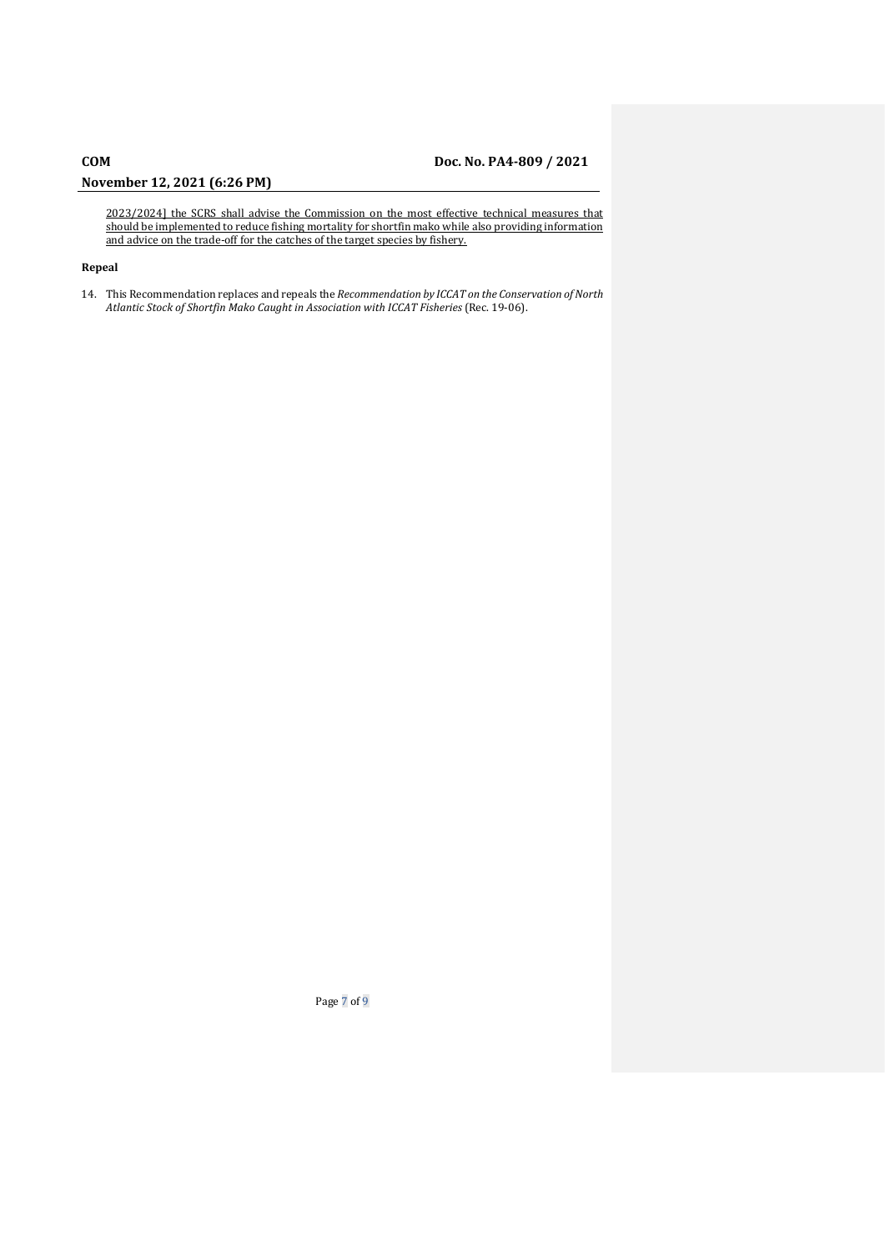# **COM Doc. No. PA4-809 / 2021**

## **November 12, 2021 (6:26 PM)**

2023/2024] the SCRS shall advise the Commission on the most effective technical measures that should be implemented to reduce fishing mortality for shortfin mako while also providing information and advice on the trade-off for the catches of the target species by fishery.

## **Repeal**

14. This Recommendation replaces and repeals the *Recommendation by ICCAT on the Conservation of North Atlantic Stock of Shortfin Mako Caught in Association with ICCAT Fisheries* (Rec. 19-06).

Page 7 of 9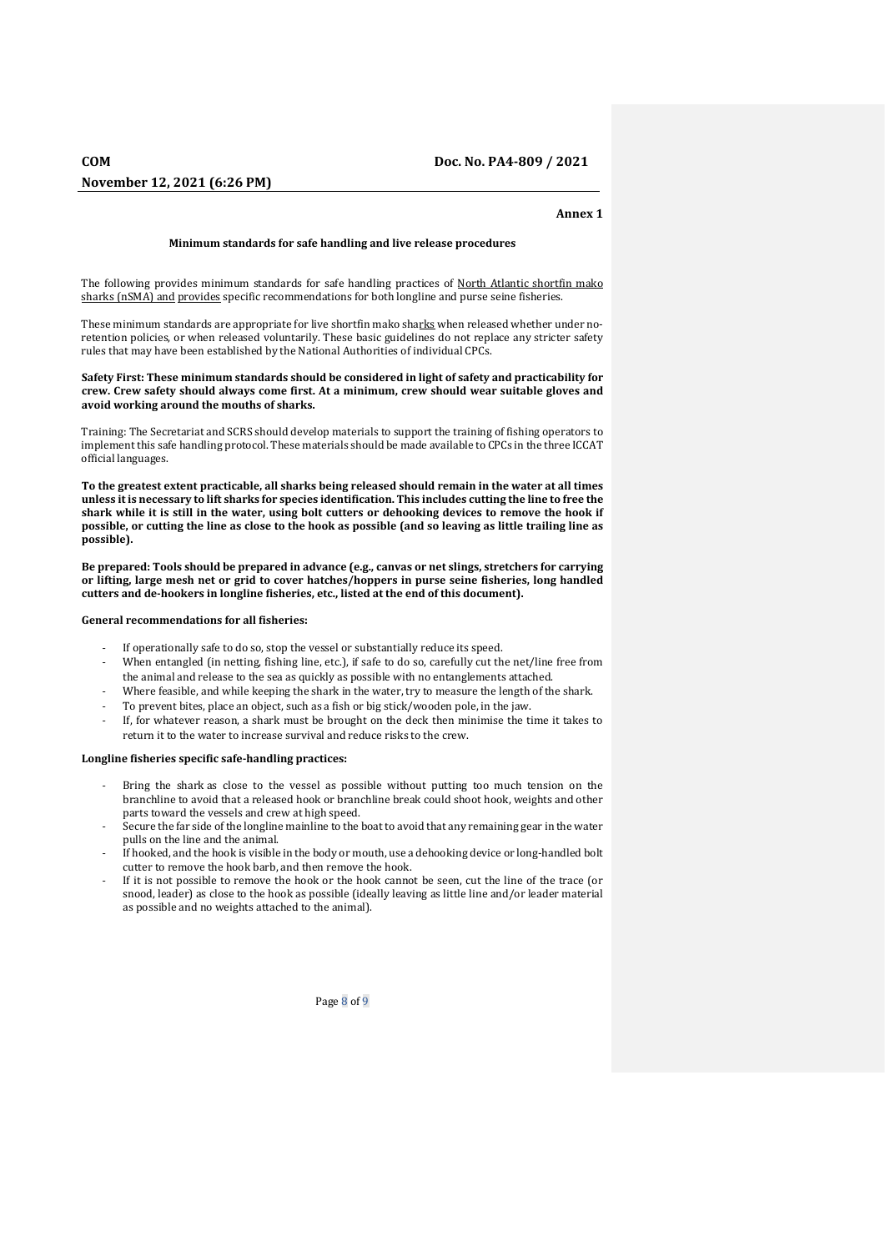## **Annex 1**

## **Minimum standards for safe handling and live release procedures**

The following provides minimum standards for safe handling practices of North Atlantic shortfin mako sharks (nSMA) and provides specific recommendations for both longline and purse seine fisheries.

These minimum standards are appropriate for live shortfin mako sharks when released whether under noretention policies, or when released voluntarily. These basic guidelines do not replace any stricter safety rules that may have been established by the National Authorities of individual CPCs.

### **Safety First: These minimum standards should be considered in light of safety and practicability for crew. Crew safety should always come first. At a minimum, crew should wear suitable gloves and avoid working around the mouths of sharks.**

Training: The Secretariat and SCRS should develop materials to support the training of fishing operators to implement this safe handling protocol. These materials should be made available to CPCs in the three ICCAT official languages.

**To the greatest extent practicable, all sharks being released should remain in the water at all times unless it is necessary to lift sharks for species identification. This includes cutting the line to free the shark while it is still in the water, using bolt cutters or dehooking devices to remove the hook if possible, or cutting the line as close to the hook as possible (and so leaving as little trailing line as possible).**

**Be prepared: Tools should be prepared in advance (e.g., canvas or net slings, stretchers for carrying or lifting, large mesh net or grid to cover hatches/hoppers in purse seine fisheries, long handled cutters and de-hookers in longline fisheries, etc., listed at the end of this document).**

## **General recommendations for all fisheries:**

- If operationally safe to do so, stop the vessel or substantially reduce its speed.
- When entangled (in netting, fishing line, etc.), if safe to do so, carefully cut the net/line free from the animal and release to the sea as quickly as possible with no entanglements attached.
- Where feasible, and while keeping the shark in the water, try to measure the length of the shark.
- To prevent bites, place an object, such as a fish or big stick/wooden pole, in the jaw.
- If, for whatever reason, a shark must be brought on the deck then minimise the time it takes to return it to the water to increase survival and reduce risks to the crew.

## **Longline fisheries specific safe-handling practices:**

- Bring the shark as close to the vessel as possible without putting too much tension on the branchline to avoid that a released hook or branchline break could shoot hook, weights and other parts toward the vessels and crew at high speed.
- Secure the far side of the longline mainline to the boat to avoid that any remaining gear in the water pulls on the line and the animal.
- If hooked, and the hook is visible in the body or mouth, use a dehooking device or long-handled bolt cutter to remove the hook barb, and then remove the hook.
- If it is not possible to remove the hook or the hook cannot be seen, cut the line of the trace (or snood, leader) as close to the hook as possible (ideally leaving as little line and/or leader material as possible and no weights attached to the animal).

Page 8 of 9